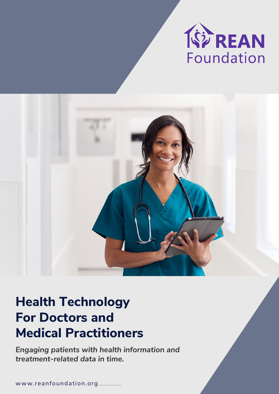

# **Health Technology For Doctors and Medical Practitioners**

*Engaging patients with health information and treatment-related data in time.*

www.reanfoundation.org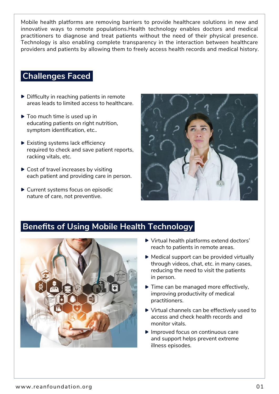Mobile health platforms are removing barriers to provide healthcare solutions in new and innovative ways to remote populations.Health technology enables doctors and medical practitioners to diagnose and treat patients without the need of their physical presence. Technology is also enabling complete transparency in the interaction between healthcare providers and patients by allowing them to freely access health records and medical history.

### **Challenges Faced**

- $\triangleright$  Difficulty in reaching patients in remote areas leads to limited access to healthcare.
- $\triangleright$  Too much time is used up in educating patients on right nutrition, symptom identification, etc..
- $\blacktriangleright$  Existing systems lack efficiency required to check and save patient reports, racking vitals, etc.
- ▶ Cost of travel increases by visiting each patient and providing care in person.
- ▶ Current systems focus on episodic nature of care, not preventive.



### **Benefits of Using Mobile Health Technology**



- Virtual health platforms extend doctors' reach to patients in remote areas.
- $\triangleright$  Medical support can be provided virtually through videos, chat, etc. in many cases, reducing the need to visit the patients in person.
- Time can be managed more effectively, improving productivity of medical practitioners.
- ▶ Virtual channels can be effectively used to access and check health records and monitor vitals.
- Improved focus on continuous care and support helps prevent extreme illness episodes.